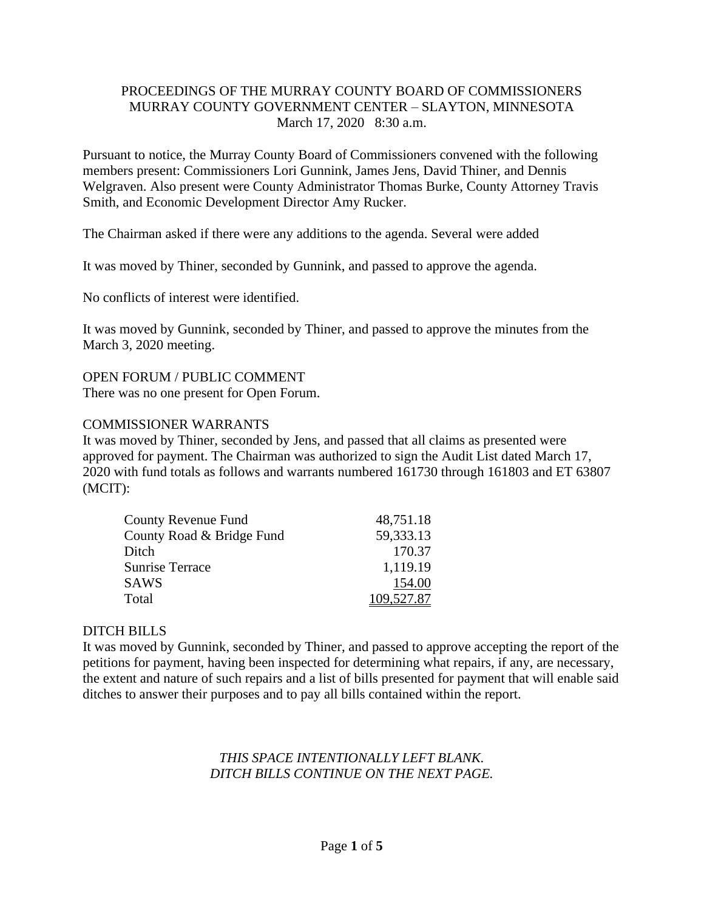### PROCEEDINGS OF THE MURRAY COUNTY BOARD OF COMMISSIONERS MURRAY COUNTY GOVERNMENT CENTER – SLAYTON, MINNESOTA March 17, 2020 8:30 a.m.

Pursuant to notice, the Murray County Board of Commissioners convened with the following members present: Commissioners Lori Gunnink, James Jens, David Thiner, and Dennis Welgraven. Also present were County Administrator Thomas Burke, County Attorney Travis Smith, and Economic Development Director Amy Rucker.

The Chairman asked if there were any additions to the agenda. Several were added

It was moved by Thiner, seconded by Gunnink, and passed to approve the agenda.

No conflicts of interest were identified.

It was moved by Gunnink, seconded by Thiner, and passed to approve the minutes from the March 3, 2020 meeting.

OPEN FORUM / PUBLIC COMMENT There was no one present for Open Forum.

#### COMMISSIONER WARRANTS

It was moved by Thiner, seconded by Jens, and passed that all claims as presented were approved for payment. The Chairman was authorized to sign the Audit List dated March 17, 2020 with fund totals as follows and warrants numbered 161730 through 161803 and ET 63807 (MCIT):

| <b>County Revenue Fund</b> | 48,751.18  |
|----------------------------|------------|
| County Road & Bridge Fund  | 59,333.13  |
| Ditch                      | 170.37     |
| <b>Sunrise Terrace</b>     | 1,119.19   |
| <b>SAWS</b>                | 154.00     |
| Total                      | 109,527.87 |

# DITCH BILLS

It was moved by Gunnink, seconded by Thiner, and passed to approve accepting the report of the petitions for payment, having been inspected for determining what repairs, if any, are necessary, the extent and nature of such repairs and a list of bills presented for payment that will enable said ditches to answer their purposes and to pay all bills contained within the report.

#### *THIS SPACE INTENTIONALLY LEFT BLANK. DITCH BILLS CONTINUE ON THE NEXT PAGE.*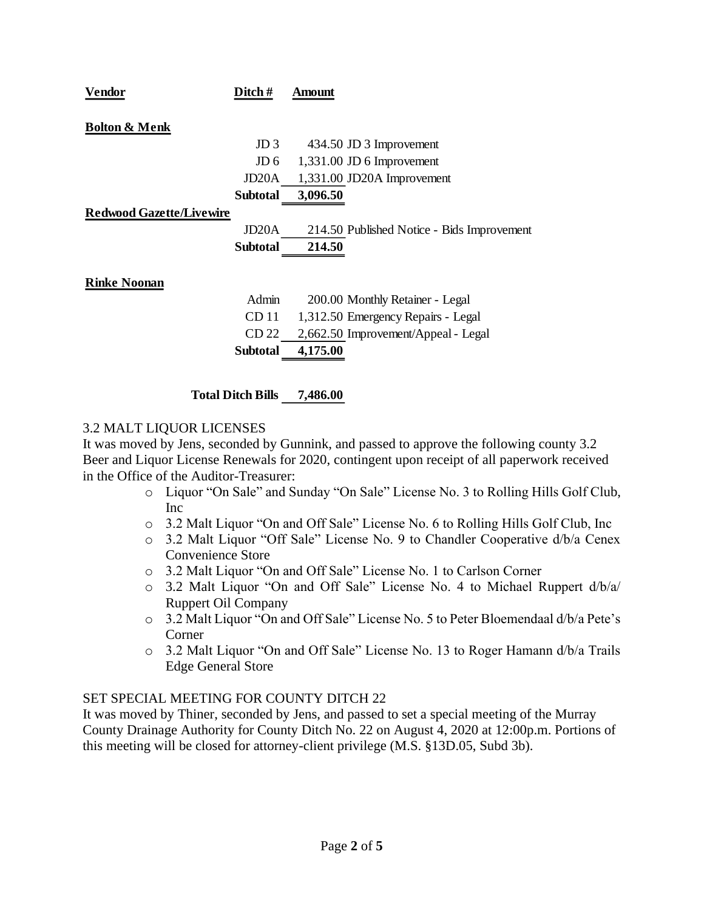| Vendor                          | Ditch #            | Amount                                     |
|---------------------------------|--------------------|--------------------------------------------|
|                                 |                    |                                            |
| <b>Bolton &amp; Menk</b>        |                    |                                            |
|                                 | JD <sub>3</sub>    | 434.50 JD 3 Improvement                    |
|                                 | JD <sub>6</sub>    | $1,331.00$ JD 6 Improvement                |
|                                 | JD20A              | 1,331.00 JD20A Improvement                 |
|                                 | <b>Subtotal</b>    | 3,096.50                                   |
| <b>Redwood Gazette/Livewire</b> |                    |                                            |
|                                 | JD <sub>20</sub> A | 214.50 Published Notice - Bids Improvement |
|                                 | <b>Subtotal</b>    | 214.50                                     |
|                                 |                    |                                            |
| <b>Rinke Noonan</b>             |                    |                                            |
|                                 | Admin              | 200.00 Monthly Retainer - Legal            |
|                                 | CD <sub>11</sub>   | 1,312.50 Emergency Repairs - Legal         |
|                                 | CD 22              | 2,662.50 Improvement/Appeal - Legal        |
|                                 | <b>Subtotal</b>    | 4,175.00                                   |
|                                 |                    |                                            |
|                                 |                    |                                            |

**Total Ditch Bills 7,486.00**

# 3.2 MALT LIQUOR LICENSES

It was moved by Jens, seconded by Gunnink, and passed to approve the following county 3.2 Beer and Liquor License Renewals for 2020, contingent upon receipt of all paperwork received in the Office of the Auditor-Treasurer:

- o Liquor "On Sale" and Sunday "On Sale" License No. 3 to Rolling Hills Golf Club, Inc
- o 3.2 Malt Liquor "On and Off Sale" License No. 6 to Rolling Hills Golf Club, Inc
- o 3.2 Malt Liquor "Off Sale" License No. 9 to Chandler Cooperative d/b/a Cenex Convenience Store
- o 3.2 Malt Liquor "On and Off Sale" License No. 1 to Carlson Corner
- o 3.2 Malt Liquor "On and Off Sale" License No. 4 to Michael Ruppert d/b/a/ Ruppert Oil Company
- o 3.2 Malt Liquor "On and Off Sale" License No. 5 to Peter Bloemendaal d/b/a Pete's Corner
- o 3.2 Malt Liquor "On and Off Sale" License No. 13 to Roger Hamann d/b/a Trails Edge General Store

# SET SPECIAL MEETING FOR COUNTY DITCH 22

It was moved by Thiner, seconded by Jens, and passed to set a special meeting of the Murray County Drainage Authority for County Ditch No. 22 on August 4, 2020 at 12:00p.m. Portions of this meeting will be closed for attorney-client privilege (M.S. §13D.05, Subd 3b).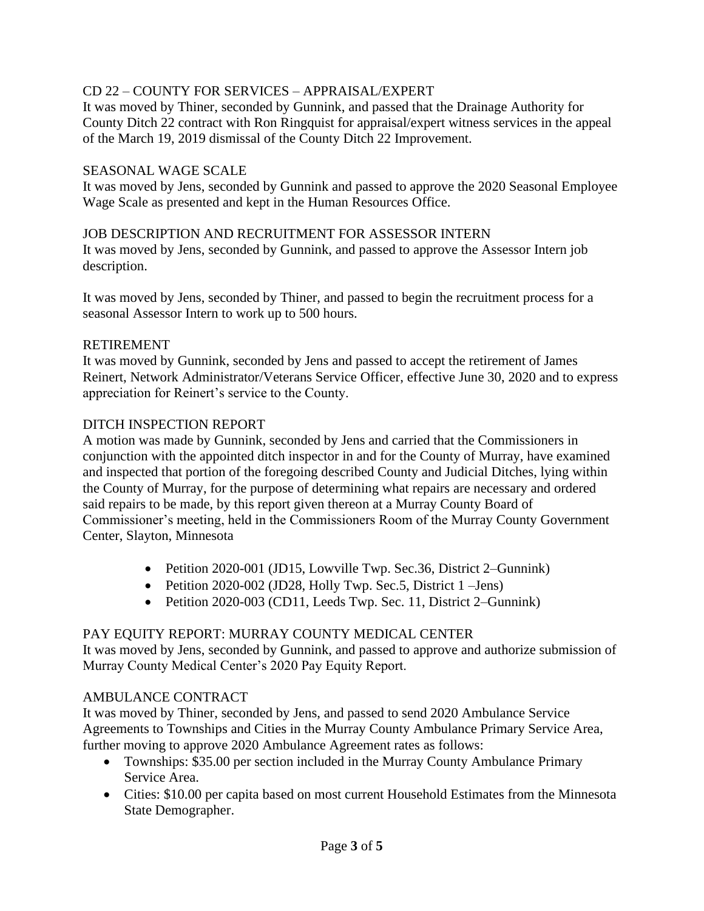# CD 22 – COUNTY FOR SERVICES – APPRAISAL/EXPERT

It was moved by Thiner, seconded by Gunnink, and passed that the Drainage Authority for County Ditch 22 contract with Ron Ringquist for appraisal/expert witness services in the appeal of the March 19, 2019 dismissal of the County Ditch 22 Improvement.

### SEASONAL WAGE SCALE

It was moved by Jens, seconded by Gunnink and passed to approve the 2020 Seasonal Employee Wage Scale as presented and kept in the Human Resources Office.

#### JOB DESCRIPTION AND RECRUITMENT FOR ASSESSOR INTERN

It was moved by Jens, seconded by Gunnink, and passed to approve the Assessor Intern job description.

It was moved by Jens, seconded by Thiner, and passed to begin the recruitment process for a seasonal Assessor Intern to work up to 500 hours.

#### RETIREMENT

It was moved by Gunnink, seconded by Jens and passed to accept the retirement of James Reinert, Network Administrator/Veterans Service Officer, effective June 30, 2020 and to express appreciation for Reinert's service to the County.

#### DITCH INSPECTION REPORT

A motion was made by Gunnink, seconded by Jens and carried that the Commissioners in conjunction with the appointed ditch inspector in and for the County of Murray, have examined and inspected that portion of the foregoing described County and Judicial Ditches, lying within the County of Murray, for the purpose of determining what repairs are necessary and ordered said repairs to be made, by this report given thereon at a Murray County Board of Commissioner's meeting, held in the Commissioners Room of the Murray County Government Center, Slayton, Minnesota

- Petition 2020-001 (JD15, Lowville Twp. Sec.36, District 2–Gunnink)
- Petition 2020-002 (JD28, Holly Twp. Sec.5, District 1 Jens)
- Petition 2020-003 (CD11, Leeds Twp. Sec. 11, District 2–Gunnink)

# PAY EQUITY REPORT: MURRAY COUNTY MEDICAL CENTER

It was moved by Jens, seconded by Gunnink, and passed to approve and authorize submission of Murray County Medical Center's 2020 Pay Equity Report.

# AMBULANCE CONTRACT

It was moved by Thiner, seconded by Jens, and passed to send 2020 Ambulance Service Agreements to Townships and Cities in the Murray County Ambulance Primary Service Area, further moving to approve 2020 Ambulance Agreement rates as follows:

- Townships: \$35.00 per section included in the Murray County Ambulance Primary Service Area.
- Cities: \$10.00 per capita based on most current Household Estimates from the Minnesota State Demographer.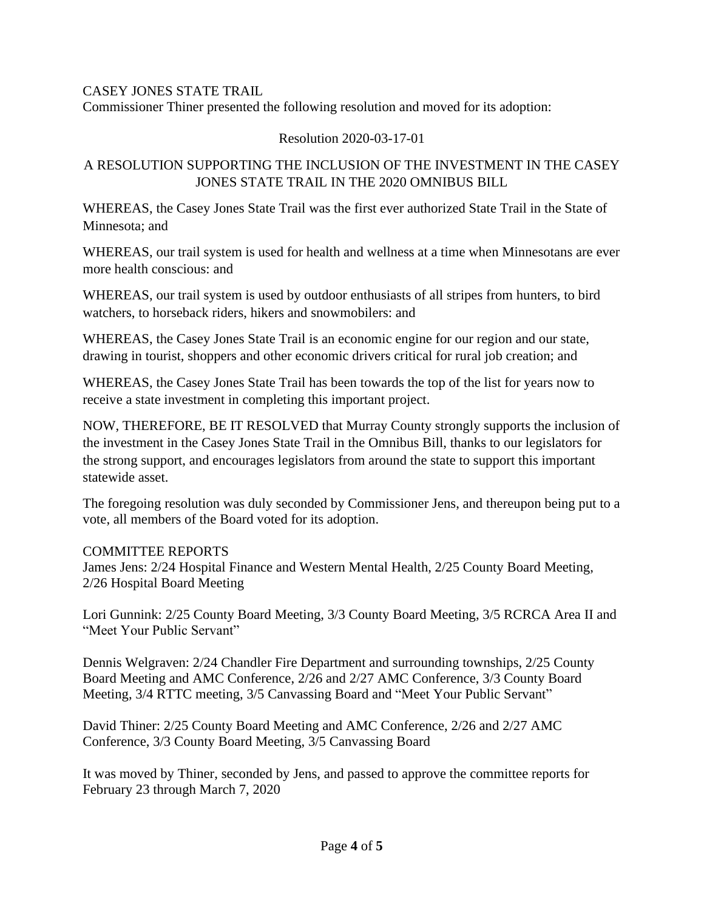# CASEY JONES STATE TRAIL

Commissioner Thiner presented the following resolution and moved for its adoption:

# Resolution 2020-03-17-01

# A RESOLUTION SUPPORTING THE INCLUSION OF THE INVESTMENT IN THE CASEY JONES STATE TRAIL IN THE 2020 OMNIBUS BILL

WHEREAS, the Casey Jones State Trail was the first ever authorized State Trail in the State of Minnesota; and

WHEREAS, our trail system is used for health and wellness at a time when Minnesotans are ever more health conscious: and

WHEREAS, our trail system is used by outdoor enthusiasts of all stripes from hunters, to bird watchers, to horseback riders, hikers and snowmobilers: and

WHEREAS, the Casey Jones State Trail is an economic engine for our region and our state, drawing in tourist, shoppers and other economic drivers critical for rural job creation; and

WHEREAS, the Casey Jones State Trail has been towards the top of the list for years now to receive a state investment in completing this important project.

NOW, THEREFORE, BE IT RESOLVED that Murray County strongly supports the inclusion of the investment in the Casey Jones State Trail in the Omnibus Bill, thanks to our legislators for the strong support, and encourages legislators from around the state to support this important statewide asset.

The foregoing resolution was duly seconded by Commissioner Jens, and thereupon being put to a vote, all members of the Board voted for its adoption.

# COMMITTEE REPORTS

James Jens: 2/24 Hospital Finance and Western Mental Health, 2/25 County Board Meeting, 2/26 Hospital Board Meeting

Lori Gunnink: 2/25 County Board Meeting, 3/3 County Board Meeting, 3/5 RCRCA Area II and "Meet Your Public Servant"

Dennis Welgraven: 2/24 Chandler Fire Department and surrounding townships, 2/25 County Board Meeting and AMC Conference, 2/26 and 2/27 AMC Conference, 3/3 County Board Meeting, 3/4 RTTC meeting, 3/5 Canvassing Board and "Meet Your Public Servant"

David Thiner: 2/25 County Board Meeting and AMC Conference, 2/26 and 2/27 AMC Conference, 3/3 County Board Meeting, 3/5 Canvassing Board

It was moved by Thiner, seconded by Jens, and passed to approve the committee reports for February 23 through March 7, 2020